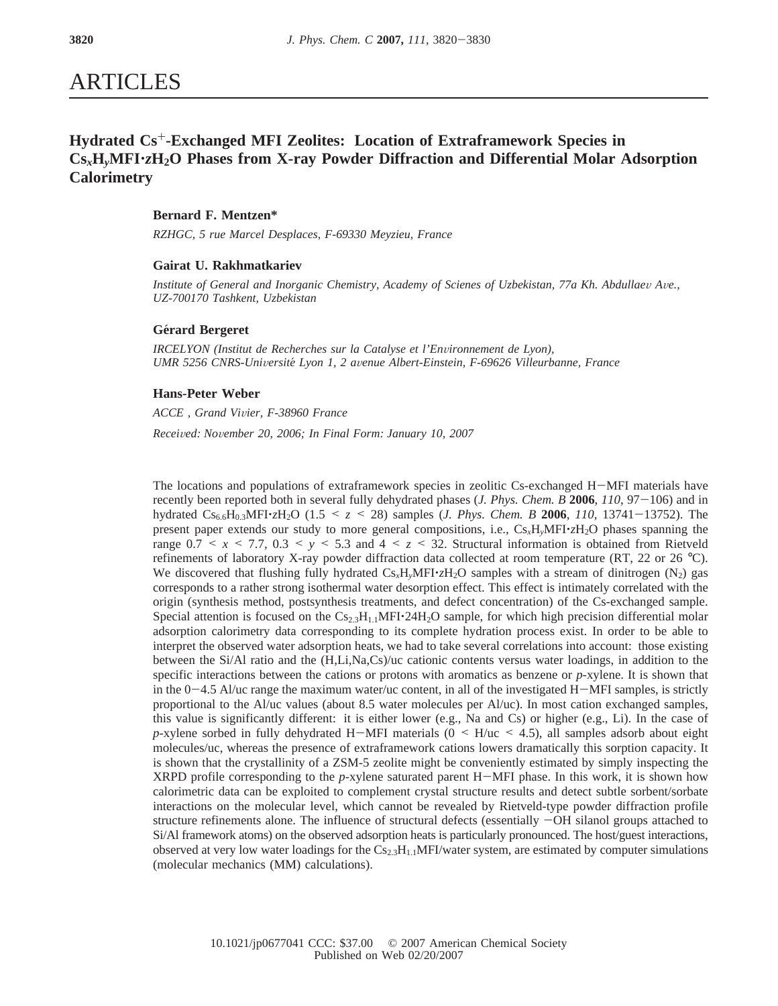# ARTICLES

# **Hydrated Cs**+**-Exchanged MFI Zeolites: Location of Extraframework Species in Cs***x***H***y***MFI**'*z***H2O Phases from X-ray Powder Diffraction and Differential Molar Adsorption Calorimetry**

# **Bernard F. Mentzen\***

*RZHGC, 5 rue Marcel Desplaces, F-69330 Meyzieu, France*

# **Gairat U. Rakhmatkariev**

*Institute of General and Inorganic Chemistry, Academy of Scienes of Uzbekistan, 77a Kh. Abdullaev Ave., UZ-700170 Tashkent, Uzbekistan*

## **Ge**´**rard Bergeret**

*IRCELYON (Institut de Recherches sur la Catalyse et l'Environnement de Lyon)*, *UMR 5256 CNRS-Uni*V*ersite*´ *Lyon 1, 2 a*V*enue Albert-Einstein, F-69626 Villeurbanne, France*

#### **Hans-Peter Weber**

*ACCE , Grand Vi*V*ier, F-38960 France Recei*V*ed: No*V*ember 20, 2006; In Final Form: January 10, 2007*

The locations and populations of extraframework species in zeolitic Cs-exchanged H-MFI materials have recently been reported both in several fully dehydrated phases (*J. Phys. Chem. B* **<sup>2006</sup>**, *<sup>110</sup>*, 97-106) and in hydrated Cs6.6H0.3MFI'*z*H2O (1.5 < *<sup>z</sup>* < 28) samples (*J. Phys. Chem. B* **<sup>2006</sup>**, *<sup>110</sup>*, 13741-13752). The present paper extends our study to more general compositions, i.e., Cs*x*H*y*MFI'*z*H2O phases spanning the range  $0.7 \le x \le 7.7$ ,  $0.3 \le y \le 5.3$  and  $4 \le z \le 32$ . Structural information is obtained from Rietveld refinements of laboratory X-ray powder diffraction data collected at room temperature (RT, 22 or 26 °C). We discovered that flushing fully hydrated  $Cs_xH_yMFI\cdot zH_2O$  samples with a stream of dinitrogen  $(N_2)$  gas corresponds to a rather strong isothermal water desorption effect. This effect is intimately correlated with the origin (synthesis method, postsynthesis treatments, and defect concentration) of the Cs-exchanged sample. Special attention is focused on the  $Cs_{2.3}H_{1.1}MFI \cdot 24H_2O$  sample, for which high precision differential molar adsorption calorimetry data corresponding to its complete hydration process exist. In order to be able to interpret the observed water adsorption heats, we had to take several correlations into account: those existing between the Si/Al ratio and the (H,Li,Na,Cs)/uc cationic contents versus water loadings, in addition to the specific interactions between the cations or protons with aromatics as benzene or *p*-xylene. It is shown that in the  $0-4.5$  Al/uc range the maximum water/uc content, in all of the investigated H $-MFI$  samples, is strictly proportional to the Al/uc values (about 8.5 water molecules per Al/uc). In most cation exchanged samples, this value is significantly different: it is either lower (e.g., Na and Cs) or higher (e.g., Li). In the case of *p*-xylene sorbed in fully dehydrated H-MFI materials ( $0 \leq H/uc \leq 4.5$ ), all samples adsorb about eight molecules/uc, whereas the presence of extraframework cations lowers dramatically this sorption capacity. It is shown that the crystallinity of a ZSM-5 zeolite might be conveniently estimated by simply inspecting the XRPD profile corresponding to the *<sup>p</sup>*-xylene saturated parent H-MFI phase. In this work, it is shown how calorimetric data can be exploited to complement crystal structure results and detect subtle sorbent/sorbate interactions on the molecular level, which cannot be revealed by Rietveld-type powder diffraction profile structure refinements alone. The influence of structural defects (essentially  $-OH$  silanol groups attached to Si/Al framework atoms) on the observed adsorption heats is particularly pronounced. The host/guest interactions, observed at very low water loadings for the  $Cs_{2.3}H_{1.1}MFI/water$  system, are estimated by computer simulations (molecular mechanics (MM) calculations).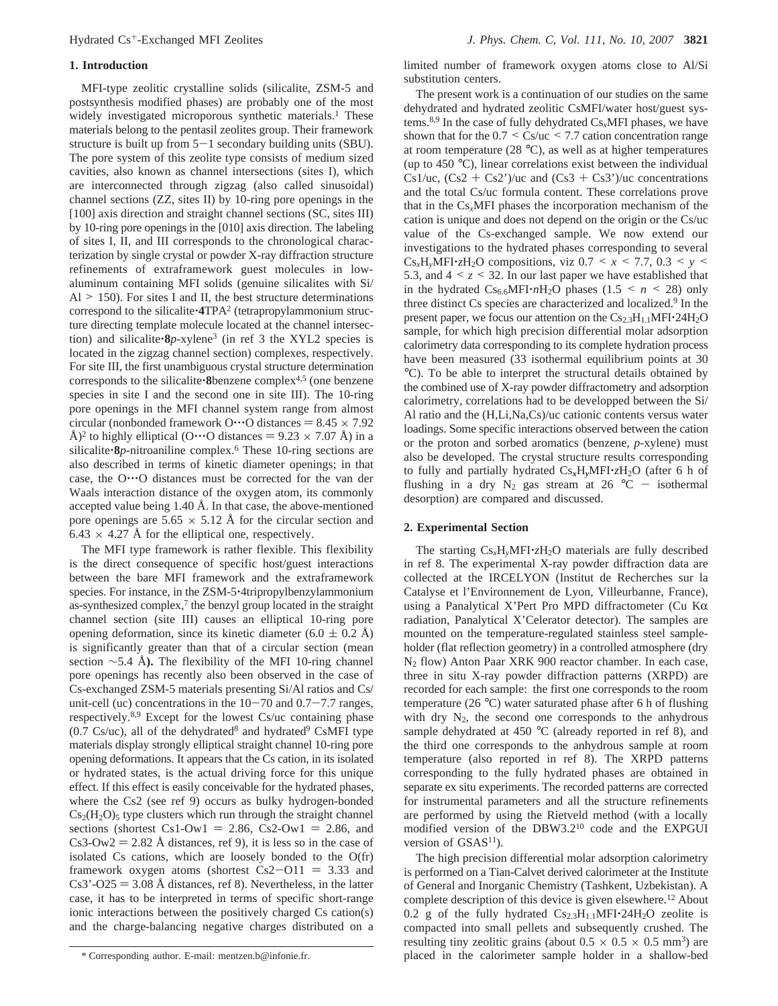#### **1. Introduction**

MFI-type zeolitic crystalline solids (silicalite, ZSM-5 and postsynthesis modified phases) are probably one of the most widely investigated microporous synthetic materials.<sup>1</sup> These materials belong to the pentasil zeolites group. Their framework structure is built up from  $5-1$  secondary building units (SBU). The pore system of this zeolite type consists of medium sized cavities, also known as channel intersections (sites I), which are interconnected through zigzag (also called sinusoidal) channel sections (ZZ, sites II) by 10-ring pore openings in the [100] axis direction and straight channel sections (SC, sites III) by 10-ring pore openings in the [010] axis direction. The labeling of sites I, II, and III corresponds to the chronological characterization by single crystal or powder X-ray diffraction structure refinements of extraframework guest molecules in lowaluminum containing MFI solids (genuine silicalites with Si/  $Al > 150$ ). For sites I and II, the best structure determinations correspond to the silicalite'**4**TPA2 (tetrapropylammonium structure directing template molecule located at the channel intersection) and silicalite'**8***p*-xylene3 (in ref 3 the XYL2 species is located in the zigzag channel section) complexes, respectively. For site III, the first unambiguous crystal structure determination corresponds to the silicalite'**8**benzene complex4,5 (one benzene species in site I and the second one in site III). The 10-ring pore openings in the MFI channel system range from almost circular (nonbonded framework O…O distances =  $8.45 \times 7.92$ Å)<sup>2</sup> to highly elliptical (O…O distances =  $9.23 \times 7.07$  Å) in a silicalite'**8***p*-nitroaniline complex.6 These 10-ring sections are also described in terms of kinetic diameter openings; in that case, the O'''O distances must be corrected for the van der Waals interaction distance of the oxygen atom, its commonly accepted value being 1.40 Å. In that case, the above-mentioned pore openings are  $5.65 \times 5.12$  Å for the circular section and  $6.43 \times 4.27$  Å for the elliptical one, respectively.

The MFI type framework is rather flexible. This flexibility is the direct consequence of specific host/guest interactions between the bare MFI framework and the extraframework species. For instance, in the ZSM-5<sup>-4</sup>tripropylbenzylammonium as-synthesized complex,7 the benzyl group located in the straight channel section (site III) causes an elliptical 10-ring pore opening deformation, since its kinetic diameter  $(6.0 \pm 0.2 \text{ Å})$ is significantly greater than that of a circular section (mean section ∼5.4 Å**).** The flexibility of the MFI 10-ring channel pore openings has recently also been observed in the case of Cs-exchanged ZSM-5 materials presenting Si/Al ratios and Cs/ unit-cell (uc) concentrations in the  $10-70$  and  $0.7-7.7$  ranges, respectively.8,9 Except for the lowest Cs/uc containing phase  $(0.7 \text{ Cs/uc})$ , all of the dehydrated<sup>8</sup> and hydrated<sup>9</sup> CsMFI type materials display strongly elliptical straight channel 10-ring pore opening deformations. It appears that the Cs cation, in its isolated or hydrated states, is the actual driving force for this unique effect. If this effect is easily conceivable for the hydrated phases, where the Cs2 (see ref 9) occurs as bulky hydrogen-bonded  $Cs<sub>2</sub>(H<sub>2</sub>O)<sub>5</sub>$  type clusters which run through the straight channel sections (shortest  $Cs1-Ow1 = 2.86$ ,  $Cs2-Ow1 = 2.86$ , and  $Cs3-Ow2 = 2.82$  Å distances, ref 9), it is less so in the case of isolated Cs cations, which are loosely bonded to the O(fr) framework oxygen atoms (shortest  $Cs2-O11 = 3.33$  and  $Cs3' - O25 = 3.08$  Å distances, ref 8). Nevertheless, in the latter case, it has to be interpreted in terms of specific short-range ionic interactions between the positively charged Cs cation(s) and the charge-balancing negative charges distributed on a

limited number of framework oxygen atoms close to Al/Si substitution centers.

The present work is a continuation of our studies on the same dehydrated and hydrated zeolitic CsMFI/water host/guest systems.8,9 In the case of fully dehydrated Cs*x*MFI phases, we have shown that for the  $0.7 \leq Cs/\text{uc} \leq 7.7$  cation concentration range at room temperature (28  $^{\circ}$ C), as well as at higher temperatures (up to 450 °C), linear correlations exist between the individual Cs1/uc,  $(Cs2 + Cs2')/uc$  and  $(Cs3 + Cs3')/uc$  concentrations and the total Cs/uc formula content. These correlations prove that in the Cs*x*MFI phases the incorporation mechanism of the cation is unique and does not depend on the origin or the Cs/uc value of the Cs-exchanged sample. We now extend our investigations to the hydrated phases corresponding to several Cs<sub>x</sub>H<sub>y</sub>MFI·zH<sub>2</sub>O compositions, viz 0.7 <  $x$  < 7.7, 0.3 <  $y$  < 5.3, and  $4 \le z \le 32$ . In our last paper we have established that in the hydrated  $Cs_{6.6}MFI \cdot nH_2O$  phases (1.5 <  $n$  < 28) only three distinct Cs species are characterized and localized.<sup>9</sup> In the present paper, we focus our attention on the  $Cs_{2.3}H_{1.1}MFI•24H<sub>2</sub>O$ sample, for which high precision differential molar adsorption calorimetry data corresponding to its complete hydration process have been measured (33 isothermal equilibrium points at 30 °C). To be able to interpret the structural details obtained by the combined use of X-ray powder diffractometry and adsorption calorimetry, correlations had to be developped between the Si/ Al ratio and the (H,Li,Na,Cs)/uc cationic contents versus water loadings. Some specific interactions observed between the cation or the proton and sorbed aromatics (benzene, *p*-xylene) must also be developed. The crystal structure results corresponding to fully and partially hydrated Cs*x*H*y*MFI'*z*H2O (after 6 h of flushing in a dry  $N_2$  gas stream at 26 °C - isothermal desorption) are compared and discussed.

#### **2. Experimental Section**

The starting  $Cs_xH_yMFI\cdot zH_2O$  materials are fully described in ref 8. The experimental X-ray powder diffraction data are collected at the IRCELYON (Institut de Recherches sur la Catalyse et l'Environnement de Lyon, Villeurbanne, France), using a Panalytical X'Pert Pro MPD diffractometer (Cu K $\alpha$ ) radiation, Panalytical X'Celerator detector). The samples are mounted on the temperature-regulated stainless steel sampleholder (flat reflection geometry) in a controlled atmosphere (dry N2 flow) Anton Paar XRK 900 reactor chamber. In each case, three in situ X-ray powder diffraction patterns (XRPD) are recorded for each sample: the first one corresponds to the room temperature (26 °C) water saturated phase after 6 h of flushing with dry  $N_2$ , the second one corresponds to the anhydrous sample dehydrated at 450 °C (already reported in ref 8), and the third one corresponds to the anhydrous sample at room temperature (also reported in ref 8). The XRPD patterns corresponding to the fully hydrated phases are obtained in separate ex situ experiments. The recorded patterns are corrected for instrumental parameters and all the structure refinements are performed by using the Rietveld method (with a locally modified version of the DBW3.210 code and the EXPGUI version of  $GSAS<sup>11</sup>$ ).

The high precision differential molar adsorption calorimetry is performed on a Tian-Calvet derived calorimeter at the Institute of General and Inorganic Chemistry (Tashkent, Uzbekistan). A complete description of this device is given elsewhere.<sup>12</sup> About 0.2 g of the fully hydrated  $Cs_{2.3}H_{1.1}MFI·24H_2O$  zeolite is compacted into small pellets and subsequently crushed. The resulting tiny zeolitic grains (about  $0.5 \times 0.5 \times 0.5$  mm<sup>3</sup>) are \* Corresponding author. E-mail: mentzen.b@infonie.fr. placed in the calorimeter sample holder in a shallow-bed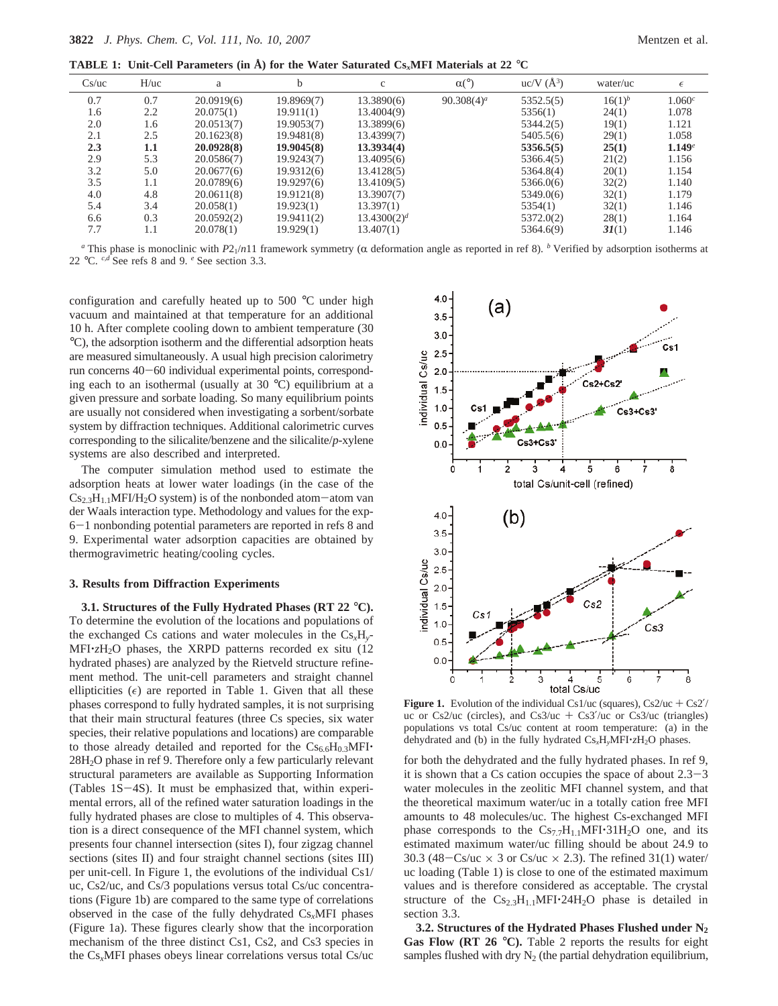**TABLE 1: Unit-Cell Parameters (in Å) for the Water Saturated Cs***x***MFI Materials at 22** °**C**

| Cs/uc | H/uc    | a          | h          | $\mathbf{C}$            | $\alpha$ <sup>o</sup> ) | $uc/V(A^3)$ | water/uc    | $\epsilon$ |
|-------|---------|------------|------------|-------------------------|-------------------------|-------------|-------------|------------|
| 0.7   | 0.7     | 20.0919(6) | 19.8969(7) | 13.3890(6)              | $90.308(4)^a$           | 5352.5(5)   | $16(1)^{b}$ | $1.060^c$  |
| 1.6   | 2.2     | 20.075(1)  | 19.911(1)  | 13.4004(9)              |                         | 5356(1)     | 24(1)       | 1.078      |
| 2.0   | 1.6     | 20.0513(7) | 19.9053(7) | 13.3899(6)              |                         | 5344.2(5)   | 19(1)       | 1.121      |
| 2.1   | 2.5     | 20.1623(8) | 19.9481(8) | 13.4399(7)              |                         | 5405.5(6)   | 29(1)       | 1.058      |
| 2.3   | $1.1\,$ | 20.0928(8) | 19.9045(8) | 13.3934(4)              |                         | 5356.5(5)   | 25(1)       | 1.149e     |
| 2.9   | 5.3     | 20.0586(7) | 19.9243(7) | 13.4095(6)              |                         | 5366.4(5)   | 21(2)       | 1.156      |
| 3.2   | 5.0     | 20.0677(6) | 19.9312(6) | 13.4128(5)              |                         | 5364.8(4)   | 20(1)       | 1.154      |
| 3.5   | 1.1     | 20.0789(6) | 19.9297(6) | 13.4109(5)              |                         | 5366.0(6)   | 32(2)       | 1.140      |
| 4.0   | 4.8     | 20.0611(8) | 19.9121(8) | 13.3907(7)              |                         | 5349.0(6)   | 32(1)       | 1.179      |
| 5.4   | 3.4     | 20.058(1)  | 19.923(1)  | 13.397(1)               |                         | 5354(1)     | 32(1)       | 1.146      |
| 6.6   | 0.3     | 20.0592(2) | 19.9411(2) | 13.4300(2) <sup>d</sup> |                         | 5372.0(2)   | 28(1)       | 1.164      |
| 7.7   | 1.1     | 20.078(1)  | 19.929(1)  | 13.407(1)               |                         | 5364.6(9)   | 3I(1)       | 1.146      |

*a* This phase is monoclinic with  $P2_1/n11$  framework symmetry ( $\alpha$  deformation angle as reported in ref 8). *b* Verified by adsorption isotherms at 22 °C. *c,d* See refs 8 and 9. *<sup>e</sup>* See section 3.3.

configuration and carefully heated up to 500 °C under high vacuum and maintained at that temperature for an additional 10 h. After complete cooling down to ambient temperature (30 °C), the adsorption isotherm and the differential adsorption heats are measured simultaneously. A usual high precision calorimetry run concerns 40-60 individual experimental points, corresponding each to an isothermal (usually at 30 °C) equilibrium at a given pressure and sorbate loading. So many equilibrium points are usually not considered when investigating a sorbent/sorbate system by diffraction techniques. Additional calorimetric curves corresponding to the silicalite/benzene and the silicalite/*p*-xylene systems are also described and interpreted.

The computer simulation method used to estimate the adsorption heats at lower water loadings (in the case of the  $Cs_{2,3}H_{1,1}MFI/H_2O$  system) is of the nonbonded atom-atom van der Waals interaction type. Methodology and values for the exp-<sup>6</sup>-1 nonbonding potential parameters are reported in refs 8 and 9. Experimental water adsorption capacities are obtained by thermogravimetric heating/cooling cycles.

#### **3. Results from Diffraction Experiments**

**3.1. Structures of the Fully Hydrated Phases (RT 22** °**C).** To determine the evolution of the locations and populations of the exchanged Cs cations and water molecules in the Cs*x*H*y*-MFI'*z*H2O phases, the XRPD patterns recorded ex situ (12 hydrated phases) are analyzed by the Rietveld structure refinement method. The unit-cell parameters and straight channel ellipticities  $(\epsilon)$  are reported in Table 1. Given that all these phases correspond to fully hydrated samples, it is not surprising that their main structural features (three Cs species, six water species, their relative populations and locations) are comparable to those already detailed and reported for the  $Cs_{6.6}H_{0.3}MFI$ 28H2O phase in ref 9. Therefore only a few particularly relevant structural parameters are available as Supporting Information (Tables 1S-4S). It must be emphasized that, within experimental errors, all of the refined water saturation loadings in the fully hydrated phases are close to multiples of 4. This observation is a direct consequence of the MFI channel system, which presents four channel intersection (sites I), four zigzag channel sections (sites II) and four straight channel sections (sites III) per unit-cell. In Figure 1, the evolutions of the individual Cs1/ uc, Cs2/uc, and Cs/3 populations versus total Cs/uc concentrations (Figure 1b) are compared to the same type of correlations observed in the case of the fully dehydrated Cs*x*MFI phases (Figure 1a). These figures clearly show that the incorporation mechanism of the three distinct Cs1, Cs2, and Cs3 species in the Cs*x*MFI phases obeys linear correlations versus total Cs/uc



**Figure 1.** Evolution of the individual Cs1/uc (squares),  $Cs2/uc + Cs2/$ uc or Cs2/uc (circles), and Cs3/uc + Cs3/uc or Cs3/uc (triangles) populations vs total Cs/uc content at room temperature: (a) in the dehydrated and (b) in the fully hydrated Cs*x*H*y*MFI'*z*H2O phases.

for both the dehydrated and the fully hydrated phases. In ref 9, it is shown that a Cs cation occupies the space of about  $2.3-3$ water molecules in the zeolitic MFI channel system, and that the theoretical maximum water/uc in a totally cation free MFI amounts to 48 molecules/uc. The highest Cs-exchanged MFI phase corresponds to the  $Cs_{7.7}H_{1.1}MFI·31H_2O$  one, and its estimated maximum water/uc filling should be about 24.9 to 30.3 (48-Cs/uc  $\times$  3 or Cs/uc  $\times$  2.3). The refined 31(1) water/ uc loading (Table 1) is close to one of the estimated maximum values and is therefore considered as acceptable. The crystal structure of the  $Cs_{2.3}H_{1.1}MFI \cdot 24H_2O$  phase is detailed in section 3.3.

**3.2. Structures of the Hydrated Phases Flushed under N2 Gas Flow (RT 26** °**C).** Table 2 reports the results for eight samples flushed with dry  $N_2$  (the partial dehydration equilibrium,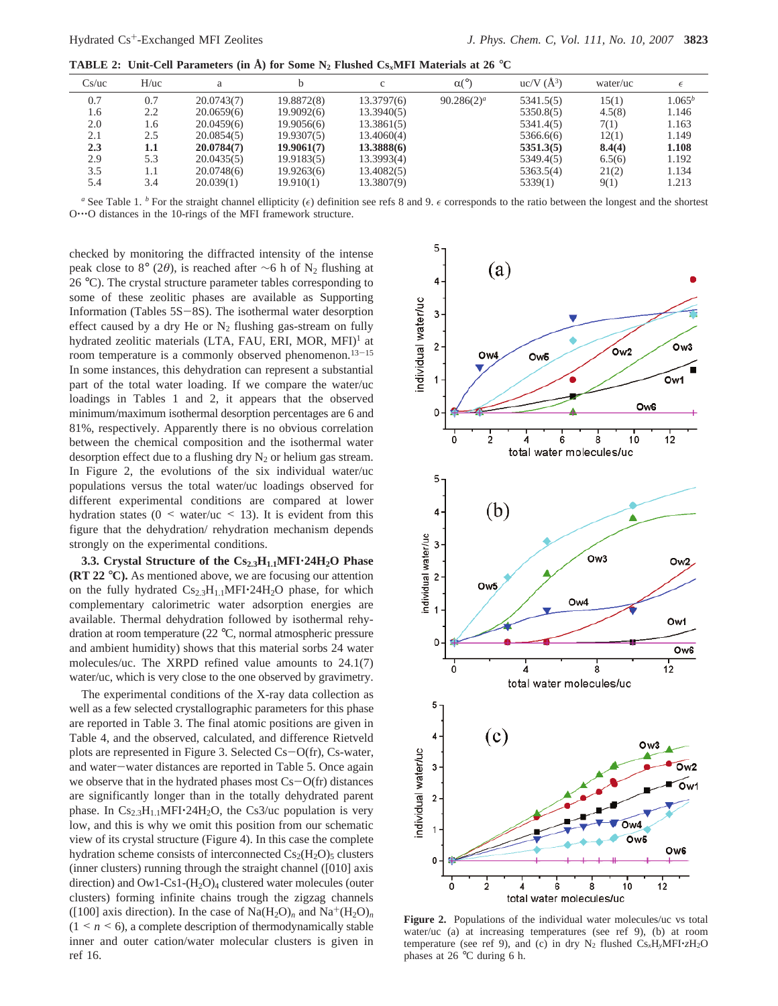**TABLE 2:** Unit-Cell Parameters (in  $\AA$ ) for Some N<sub>2</sub> Flushed Cs<sub>*x*</sub>MFI Materials at 26 °C

| Cs/uc | H/uc | a          |            | c          | $\alpha$ <sup>o</sup> ) | $uc/V(A^3)$ | water/uc | $\epsilon$ |
|-------|------|------------|------------|------------|-------------------------|-------------|----------|------------|
| 0.7   | 0.7  | 20.0743(7) | 19.8872(8) | 13.3797(6) | $90.286(2)^a$           | 5341.5(5)   | 15(1)    | $1.065^b$  |
| 1.6   | 2.2  | 20.0659(6) | 19.9092(6) | 13.3940(5) |                         | 5350.8(5)   | 4.5(8)   | 1.146      |
| 2.0   | 1.6  | 20.0459(6) | 19.9056(6) | 13.3861(5) |                         | 5341.4(5)   | 7(1)     | 1.163      |
| 2.1   | 2.5  | 20.0854(5) | 19.9307(5) | 13.4060(4) |                         | 5366.6(6)   | 12(1)    | 1.149      |
| 2.3   | 1.1  | 20.0784(7) | 19.9061(7) | 13.3888(6) |                         | 5351.3(5)   | 8.4(4)   | 1.108      |
| 2.9   | 5.3  | 20.0435(5) | 19.9183(5) | 13.3993(4) |                         | 5349.4(5)   | 6.5(6)   | 1.192      |
| 3.5   | 1.1  | 20.0748(6) | 19.9263(6) | 13.4082(5) |                         | 5363.5(4)   | 21(2)    | 1.134      |
| 5.4   | 3.4  | 20.039(1)  | 19.910(1)  | 13.3807(9) |                         | 5339(1)     | 9(1)     | 1.213      |

*a* See Table 1. *b* For the straight channel ellipticity ( $\epsilon$ ) definition see refs 8 and 9.  $\epsilon$  corresponds to the ratio between the longest and the shortest O…O distances in the 10-rings of the MFI framework structure.

checked by monitoring the diffracted intensity of the intense peak close to 8° (2 $\theta$ ), is reached after ∼6 h of N<sub>2</sub> flushing at 26 °C). The crystal structure parameter tables corresponding to some of these zeolitic phases are available as Supporting Information (Tables 5S-8S). The isothermal water desorption effect caused by a dry He or  $N_2$  flushing gas-stream on fully hydrated zeolitic materials (LTA, FAU, ERI, MOR, MFI)<sup>1</sup> at room temperature is a commonly observed phenomenon.<sup>13-15</sup> In some instances, this dehydration can represent a substantial part of the total water loading. If we compare the water/uc loadings in Tables 1 and 2, it appears that the observed minimum/maximum isothermal desorption percentages are 6 and 81%, respectively. Apparently there is no obvious correlation between the chemical composition and the isothermal water desorption effect due to a flushing dry  $N_2$  or helium gas stream. In Figure 2, the evolutions of the six individual water/uc populations versus the total water/uc loadings observed for different experimental conditions are compared at lower hydration states ( $0 \leq$  water/uc  $\leq$  13). It is evident from this figure that the dehydration/ rehydration mechanism depends strongly on the experimental conditions.

**3.3. Crystal Structure of the Cs<sub>2.3</sub>H<sub>1.1</sub>MFI·24H<sub>2</sub>O Phase (RT 22** °**C).** As mentioned above, we are focusing our attention on the fully hydrated  $Cs_{2.3}H_{1.1}MFI \cdot 24H_2O$  phase, for which complementary calorimetric water adsorption energies are available. Thermal dehydration followed by isothermal rehydration at room temperature (22 °C, normal atmospheric pressure and ambient humidity) shows that this material sorbs 24 water molecules/uc. The XRPD refined value amounts to 24.1(7) water/uc, which is very close to the one observed by gravimetry.

The experimental conditions of the X-ray data collection as well as a few selected crystallographic parameters for this phase are reported in Table 3. The final atomic positions are given in Table 4, and the observed, calculated, and difference Rietveld plots are represented in Figure 3. Selected Cs-O(fr), Cs-water, and water-water distances are reported in Table 5. Once again we observe that in the hydrated phases most  $Cs - O(fr)$  distances are significantly longer than in the totally dehydrated parent phase. In  $Cs_{2,3}H_{1,1}MFI·24H_2O$ , the Cs3/uc population is very low, and this is why we omit this position from our schematic view of its crystal structure (Figure 4). In this case the complete hydration scheme consists of interconnected  $Cs<sub>2</sub>(H<sub>2</sub>O)<sub>5</sub>$  clusters (inner clusters) running through the straight channel ([010] axis direction) and  $\text{Ow1-Cs1-(H}_2\text{O})_4$  clustered water molecules (outer clusters) forming infinite chains trough the zigzag channels ([100] axis direction). In the case of  $\text{Na}(H_2O)_n$  and  $\text{Na}^+(H_2O)_n$  $(1 \le n \le 6)$ , a complete description of thermodynamically stable inner and outer cation/water molecular clusters is given in ref 16.



Figure 2. Populations of the individual water molecules/uc vs total water/uc (a) at increasing temperatures (see ref 9), (b) at room temperature (see ref 9), and (c) in dry  $N_2$  flushed  $Cs_xH_yMFI\cdot zH_2O$ phases at 26 °C during 6 h.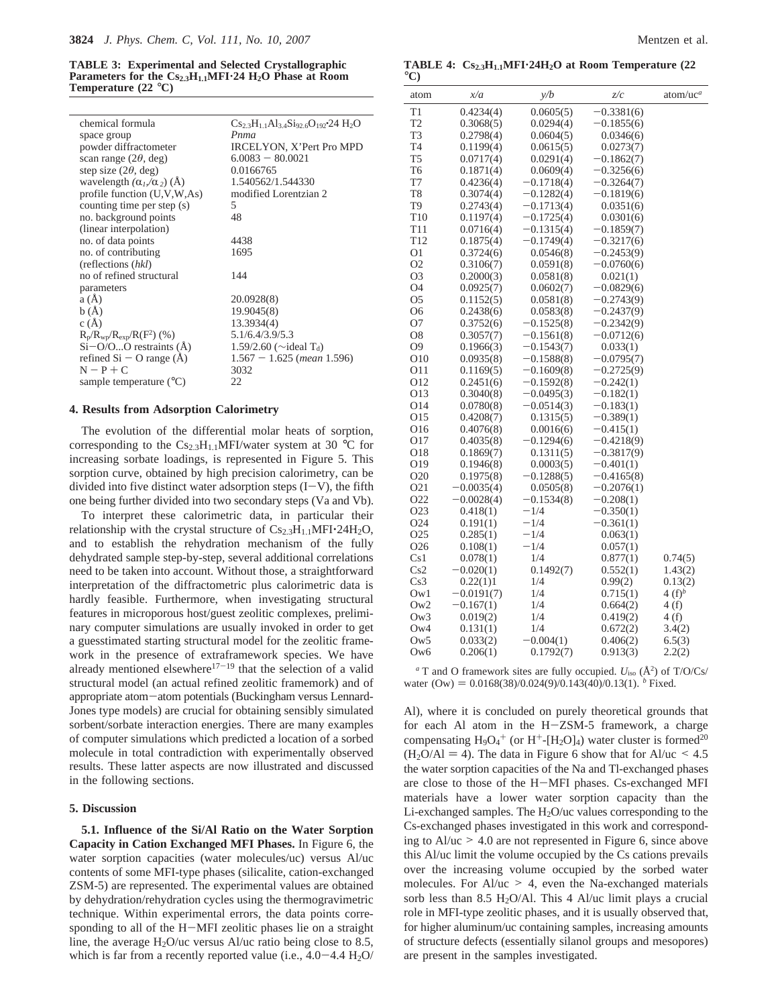**TABLE 3: Experimental and Selected Crystallographic** Parameters for the Cs<sub>2.3</sub>H<sub>1.1</sub>MFI<sup>-24</sup> H<sub>2</sub>O Phase at Room **Temperature (22** °**C)**

| chemical formula<br>space group      | $Cs_{2.3}H_{1.1}Al_{3.4}Si_{92.6}O_{192}$ 24 H <sub>2</sub> O<br>Pnma |
|--------------------------------------|-----------------------------------------------------------------------|
|                                      |                                                                       |
| powder diffractometer                | IRCELYON, X'Pert Pro MPD                                              |
| scan range $(2\theta, \text{deg})$   | $6.0083 - 80.0021$                                                    |
| step size $(2\theta, \text{deg})$    | 0.0166765                                                             |
| wavelength $(\alpha_l/\alpha_2)$ (A) | 1.540562/1.544330                                                     |
| profile function $(U, V, W, As)$     | modified Lorentzian 2                                                 |
| counting time per step (s)           | 5                                                                     |
| no. background points                | 48                                                                    |
| (linear interpolation)               |                                                                       |
| no. of data points                   | 4438                                                                  |
| no. of contributing                  | 1695                                                                  |
| (reflections (hkl)                   |                                                                       |
| no of refined structural             | 144                                                                   |
| parameters                           |                                                                       |
| a(A)                                 | 20.0928(8)                                                            |
| b(A)                                 | 19.9045(8)                                                            |
| c(A)                                 | 13.3934(4)                                                            |
| $R_p/R_{wp}/R_{exp}/R(F^2)$ (%)      | 5.1/6.4/3.9/5.3                                                       |
| $Si-O/OO$ restraints ( $\AA$ )       | 1.59/2.60 ( $\sim$ ideal T <sub>d</sub> )                             |
| refined $Si - O$ range $(\dot{A})$   | $1.567 - 1.625$ (mean 1.596)                                          |
| $N - P + C$                          | 3032                                                                  |
| sample temperature $(^{\circ}C)$     | 22                                                                    |
|                                      |                                                                       |

#### **4. Results from Adsorption Calorimetry**

The evolution of the differential molar heats of sorption, corresponding to the  $Cs_{2,3}H_{1,1}$ MFI/water system at 30 °C for increasing sorbate loadings, is represented in Figure 5. This sorption curve, obtained by high precision calorimetry, can be divided into five distinct water adsorption steps  $(I-V)$ , the fifth one being further divided into two secondary steps (Va and Vb).

To interpret these calorimetric data, in particular their relationship with the crystal structure of  $Cs_{2.3}H_{1.1}MFI \cdot 24H_2O$ , and to establish the rehydration mechanism of the fully dehydrated sample step-by-step, several additional correlations need to be taken into account. Without those, a straightforward interpretation of the diffractometric plus calorimetric data is hardly feasible. Furthermore, when investigating structural features in microporous host/guest zeolitic complexes, preliminary computer simulations are usually invoked in order to get a guesstimated starting structural model for the zeolitic framework in the presence of extraframework species. We have already mentioned elsewhere<sup>17-19</sup> that the selection of a valid structural model (an actual refined zeolitic framemork) and of appropriate atom-atom potentials (Buckingham versus Lennard-Jones type models) are crucial for obtaining sensibly simulated sorbent/sorbate interaction energies. There are many examples of computer simulations which predicted a location of a sorbed molecule in total contradiction with experimentally observed results. These latter aspects are now illustrated and discussed in the following sections.

### **5. Discussion**

**5.1. Influence of the Si/Al Ratio on the Water Sorption Capacity in Cation Exchanged MFI Phases.** In Figure 6, the water sorption capacities (water molecules/uc) versus Al/uc contents of some MFI-type phases (silicalite, cation-exchanged ZSM-5) are represented. The experimental values are obtained by dehydration/rehydration cycles using the thermogravimetric technique. Within experimental errors, the data points corresponding to all of the H-MFI zeolitic phases lie on a straight line, the average  $H_2O/uc$  versus Al/uc ratio being close to 8.5, which is far from a recently reported value (i.e.,  $4.0 - 4.4$  H<sub>2</sub>O/

TABLE 4:  $Cs_{2,3}H_{1,1}MFI·24H_2O$  at Room Temperature (22  $^{\circ}$ C)

| atom             | x/a          | y/b          | z/c          | $atom/uc^a$ |
|------------------|--------------|--------------|--------------|-------------|
| T1               | 0.4234(4)    | 0.0605(5)    | 0.3381(6)    |             |
| T2               | 0.3068(5)    | 0.0294(4)    | $-0.1855(6)$ |             |
| T3               | 0.2798(4)    | 0.0604(5)    | 0.0346(6)    |             |
| T4               | 0.1199(4)    | 0.0615(5)    | 0.0273(7)    |             |
| T <sub>5</sub>   | 0.0717(4)    | 0.0291(4)    | $-0.1862(7)$ |             |
| T <sub>6</sub>   | 0.1871(4)    | 0.0609(4)    | $-0.3256(6)$ |             |
| T7               | 0.4236(4)    | $-0.1718(4)$ | $-0.3264(7)$ |             |
| T8               | 0.3074(4)    | $-0.1282(4)$ | $-0.1819(6)$ |             |
| T9               | 0.2743(4)    | $-0.1713(4)$ | 0.0351(6)    |             |
| T <sub>10</sub>  | 0.1197(4)    | $-0.1725(4)$ | 0.0301(6)    |             |
| T <sub>11</sub>  | 0.0716(4)    | $-0.1315(4)$ | $-0.1859(7)$ |             |
| T <sub>12</sub>  | 0.1875(4)    | $-0.1749(4)$ | $-0.3217(6)$ |             |
| O1               | 0.3724(6)    | 0.0546(8)    | $-0.2453(9)$ |             |
| O <sub>2</sub>   | 0.3106(7)    | 0.0591(8)    | $-0.0760(6)$ |             |
| O <sub>3</sub>   | 0.2000(3)    | 0.0581(8)    | 0.021(1)     |             |
| O4               | 0.0925(7)    | 0.0602(7)    | –0.0829(6)   |             |
| O <sub>5</sub>   | 0.1152(5)    | 0.0581(8)    | $-0.2743(9)$ |             |
| O6               | 0.2438(6)    | 0.0583(8)    | $-0.2437(9)$ |             |
| O7               | 0.3752(6)    | $-0.1525(8)$ | $-0.2342(9)$ |             |
| O8               | 0.3057(7)    | $-0.1561(8)$ | $-0.0712(6)$ |             |
| O <sub>9</sub>   | 0.1966(3)    | $-0.1543(7)$ | 0.033(1)     |             |
| O10              | 0.0935(8)    | $-0.1588(8)$ | $-0.0795(7)$ |             |
| O11              | 0.1169(5)    | $-0.1609(8)$ | $-0.2725(9)$ |             |
| O12              | 0.2451(6)    | $-0.1592(8)$ | $-0.242(1)$  |             |
| O13              | 0.3040(8)    | $-0.0495(3)$ | $-0.182(1)$  |             |
| 014              | 0.0780(8)    | $-0.0514(3)$ | $-0.183(1)$  |             |
| O15              | 0.4208(7)    | 0.1315(5)    | $-0.389(1)$  |             |
| O16              | 0.4076(8)    | 0.0016(6)    | $-0.415(1)$  |             |
| O17              | 0.4035(8)    | $-0.1294(6)$ | $-0.4218(9)$ |             |
| O18              | 0.1869(7)    | 0.1311(5)    | $-0.3817(9)$ |             |
| O19              | 0.1946(8)    | 0.0003(5)    | $-0.401(1)$  |             |
| O <sub>20</sub>  | 0.1975(8)    | $-0.1288(5)$ | –0.4165(8)   |             |
| O <sub>21</sub>  | $-0.0035(4)$ | 0.0505(8)    | $-0.2076(1)$ |             |
| O <sub>2</sub> 2 | $-0.0028(4)$ | $-0.1534(8)$ | $-0.208(1)$  |             |
| O <sub>2</sub> 3 | 0.418(1)     | $-1/4$       | $-0.350(1)$  |             |
| O <sub>24</sub>  | 0.191(1)     | $-1/4$       | $-0.361(1)$  |             |
| O25              | 0.285(1)     | -1/4         | 0.063(1)     |             |
| O <sub>26</sub>  | 0.108(1)     | $-1/4$       | 0.057(1)     |             |
| Cs1              | 0.078(1)     | 1/4          | 0.877(1)     | 0.74(5)     |
| Cs2              | $-0.020(1)$  | 0.1492(7)    | 0.552(1)     | 1.43(2)     |
| Cs3              | 0.22(1)1     | 1/4          | 0.99(2)      | 0.13(2)     |
| Ow1              | $-0.0191(7)$ | 1/4          | 0.715(1)     | $4(f)^b$    |
| Ow2              | $-0.167(1)$  | 1/4          | 0.664(2)     | 4 (f)       |
| Ow3              | 0.019(2)     | 1/4          | 0.419(2)     | 4(f)        |
| Ow4              | 0.131(1)     | 1/4          | 0.672(2)     | 3.4(2)      |
| 0w5              | 0.033(2)     | $-0.004(1)$  | 0.406(2)     | 6.5(3)      |
| Ow <sub>6</sub>  | 0.206(1)     | 0.1792(7)    | 0.913(3)     | 2.2(2)      |

 $a$ <sup>T</sup> and O framework sites are fully occupied.  $U_{\text{iso}}$  ( $\AA$ <sup>2</sup>) of T/O/Cs/ water (Ow) = 0.0168(38)/0.024(9)/0.143(40)/0.13(1). <sup>*b*</sup> Fixed.

Al), where it is concluded on purely theoretical grounds that for each Al atom in the H-ZSM-5 framework, a charge compensating  $H_9O_4^+$  (or  $H^+$ -[ $H_2O$ ]<sub>4</sub>) water cluster is formed<sup>20</sup>  $(H<sub>2</sub>O/AI = 4)$ . The data in Figure 6 show that for Al/uc < 4.5 the water sorption capacities of the Na and Tl-exchanged phases are close to those of the H-MFI phases. Cs-exchanged MFI materials have a lower water sorption capacity than the Li-exchanged samples. The  $H_2O$ /uc values corresponding to the Cs-exchanged phases investigated in this work and corresponding to  $Al/uc > 4.0$  are not represented in Figure 6, since above this Al/uc limit the volume occupied by the Cs cations prevails over the increasing volume occupied by the sorbed water molecules. For  $\text{Al}/\text{uc} > 4$ , even the Na-exchanged materials sorb less than  $8.5 \text{ H}_2\text{O}/\text{Al}$ . This 4 Al/uc limit plays a crucial role in MFI-type zeolitic phases, and it is usually observed that, for higher aluminum/uc containing samples, increasing amounts of structure defects (essentially silanol groups and mesopores) are present in the samples investigated.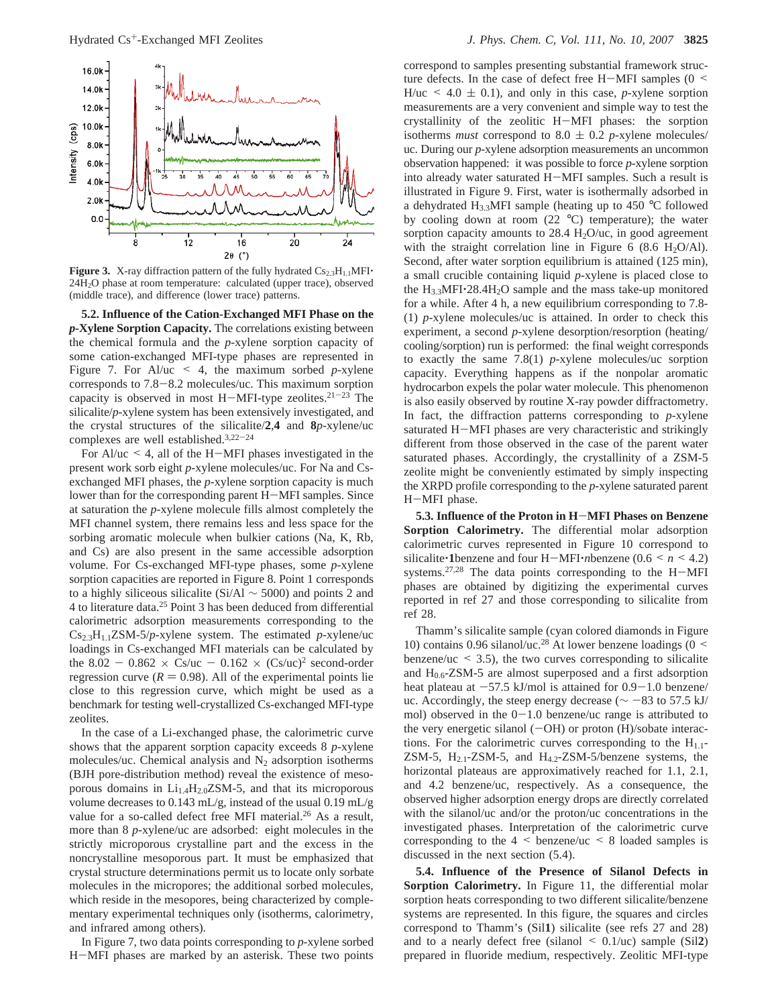

**Figure 3.** X-ray diffraction pattern of the fully hydrated  $Cs_{2.3}H_{1.1}MFI$ 24H2O phase at room temperature: calculated (upper trace), observed (middle trace), and difference (lower trace) patterns.

**5.2. Influence of the Cation-Exchanged MFI Phase on the** *p***-Xylene Sorption Capacity.** The correlations existing between the chemical formula and the *p*-xylene sorption capacity of some cation-exchanged MFI-type phases are represented in Figure 7. For Al/uc  $\leq$  4, the maximum sorbed *p*-xylene corresponds to 7.8-8.2 molecules/uc. This maximum sorption capacity is observed in most H-MFI-type zeolites.<sup>21-23</sup> The silicalite/*p*-xylene system has been extensively investigated, and the crystal structures of the silicalite/**2**,**4** and **8***p*-xylene/uc complexes are well established.3,22-<sup>24</sup>

For Al/uc  $\leq$  4, all of the H-MFI phases investigated in the present work sorb eight *p*-xylene molecules/uc. For Na and Csexchanged MFI phases, the *p*-xylene sorption capacity is much lower than for the corresponding parent H-MFI samples. Since at saturation the *p*-xylene molecule fills almost completely the MFI channel system, there remains less and less space for the sorbing aromatic molecule when bulkier cations (Na, K, Rb, and Cs) are also present in the same accessible adsorption volume. For Cs-exchanged MFI-type phases, some *p*-xylene sorption capacities are reported in Figure 8. Point 1 corresponds to a highly siliceous silicalite (Si/Al ∼ 5000) and points 2 and 4 to literature data.25 Point 3 has been deduced from differential calorimetric adsorption measurements corresponding to the Cs2.3H1.1ZSM-5/*p*-xylene system. The estimated *p*-xylene/uc loadings in Cs-exchanged MFI materials can be calculated by the 8.02 - 0.862  $\times$  Cs/uc - 0.162  $\times$  (Cs/uc)<sup>2</sup> second-order regression curve ( $R = 0.98$ ). All of the experimental points lie close to this regression curve, which might be used as a benchmark for testing well-crystallized Cs-exchanged MFI-type zeolites.

In the case of a Li-exchanged phase, the calorimetric curve shows that the apparent sorption capacity exceeds 8 *p*-xylene molecules/uc. Chemical analysis and  $N_2$  adsorption isotherms (BJH pore-distribution method) reveal the existence of mesoporous domains in  $Li_{1.4}H_{2.0}ZSM-5$ , and that its microporous volume decreases to 0.143 mL/g, instead of the usual 0.19 mL/g value for a so-called defect free MFI material.<sup>26</sup> As a result, more than 8 *p*-xylene/uc are adsorbed: eight molecules in the strictly microporous crystalline part and the excess in the noncrystalline mesoporous part. It must be emphasized that crystal structure determinations permit us to locate only sorbate molecules in the micropores; the additional sorbed molecules, which reside in the mesopores, being characterized by complementary experimental techniques only (isotherms, calorimetry, and infrared among others).

In Figure 7, two data points corresponding to *p*-xylene sorbed <sup>H</sup>-MFI phases are marked by an asterisk. These two points

correspond to samples presenting substantial framework structure defects. In the case of defect free H-MFI samples  $(0 \le$  $H/uc \le 4.0 \pm 0.1$ , and only in this case, *p*-xylene sorption measurements are a very convenient and simple way to test the crystallinity of the zeolitic H-MFI phases: the sorption isotherms *must* correspond to 8.0  $\pm$  0.2 *p*-xylene molecules/ uc. During our *p*-xylene adsorption measurements an uncommon observation happened: it was possible to force *p*-xylene sorption into already water saturated H-MFI samples. Such a result is illustrated in Figure 9. First, water is isothermally adsorbed in a dehydrated  $H_{3,3}$ MFI sample (heating up to 450 °C followed by cooling down at room  $(22 \text{ °C})$  temperature); the water sorption capacity amounts to  $28.4 \text{ H}_2\text{O}/\text{uc}$ , in good agreement with the straight correlation line in Figure 6 (8.6 H<sub>2</sub>O/Al). Second, after water sorption equilibrium is attained (125 min), a small crucible containing liquid *p*-xylene is placed close to the H3.3MFI'28.4H2O sample and the mass take-up monitored for a while. After 4 h, a new equilibrium corresponding to 7.8- (1) *p*-xylene molecules/uc is attained. In order to check this experiment, a second *p*-xylene desorption/resorption (heating/ cooling/sorption) run is performed: the final weight corresponds to exactly the same 7.8(1) *p*-xylene molecules/uc sorption capacity. Everything happens as if the nonpolar aromatic hydrocarbon expels the polar water molecule. This phenomenon is also easily observed by routine X-ray powder diffractometry. In fact, the diffraction patterns corresponding to *p*-xylene saturated H-MFI phases are very characteristic and strikingly different from those observed in the case of the parent water saturated phases. Accordingly, the crystallinity of a ZSM-5 zeolite might be conveniently estimated by simply inspecting the XRPD profile corresponding to the *p*-xylene saturated parent <sup>H</sup>-MFI phase.

**5.3. Influence of the Proton in H**-**MFI Phases on Benzene Sorption Calorimetry.** The differential molar adsorption calorimetric curves represented in Figure 10 correspond to silicalite **1** benzene and four H-MFI *n*benzene (0.6  $\le n \le 4.2$ ) systems.27,28 The data points corresponding to the H-MFI phases are obtained by digitizing the experimental curves reported in ref 27 and those corresponding to silicalite from ref 28.

Thamm's silicalite sample (cyan colored diamonds in Figure 10) contains 0.96 silanol/uc.<sup>28</sup> At lower benzene loadings (0  $\le$ benzene/uc  $\leq$  3.5), the two curves corresponding to silicalite and  $H_{0.6}$ -ZSM-5 are almost superposed and a first adsorption heat plateau at  $-57.5$  kJ/mol is attained for  $0.9-1.0$  benzene/ uc. Accordingly, the steep energy decrease ( $\sim$  -83 to 57.5 kJ/ mol) observed in the  $0-1.0$  benzene/uc range is attributed to the very energetic silanol  $(-OH)$  or proton  $(H)/$ sobate interactions. For the calorimetric curves corresponding to the  $H_{1,1}$ -ZSM-5,  $H_{2,1}$ -ZSM-5, and  $H_{4,2}$ -ZSM-5/benzene systems, the horizontal plateaus are approximatively reached for 1.1, 2.1, and 4.2 benzene/uc, respectively. As a consequence, the observed higher adsorption energy drops are directly correlated with the silanol/uc and/or the proton/uc concentrations in the investigated phases. Interpretation of the calorimetric curve corresponding to the  $4 \leq$  benzene/uc  $\leq 8$  loaded samples is discussed in the next section (5.4).

**5.4. Influence of the Presence of Silanol Defects in Sorption Calorimetry.** In Figure 11, the differential molar sorption heats corresponding to two different silicalite/benzene systems are represented. In this figure, the squares and circles correspond to Thamm's (Sil**1**) silicalite (see refs 27 and 28) and to a nearly defect free (silanol  $\leq 0.1/\text{uc}$ ) sample (Sil2) prepared in fluoride medium, respectively. Zeolitic MFI-type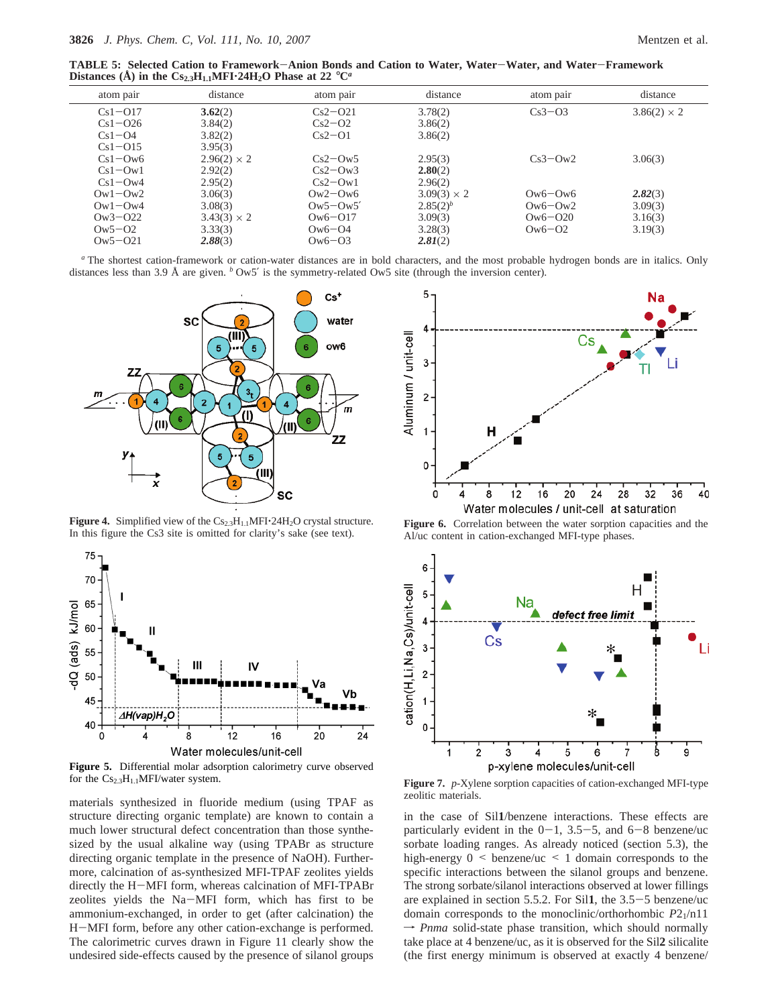**TABLE 5: Selected Cation to Framework**-**Anion Bonds and Cation to Water, Water**-**Water, and Water**-**Framework Distances** (Å) in the  $Cs_{2,3}H_{1,1}MF1.24H_2O$  Phase at 22  $^{\circ}C^{\alpha}$ 

| atom pair   | distance           | atom pair   | distance           | atom pair   | distance           |
|-------------|--------------------|-------------|--------------------|-------------|--------------------|
| $Cs1 - O17$ | 3.62(2)            | $Cs2-021$   | 3.78(2)            | $Cs3-03$    | $3.86(2) \times 2$ |
| $Cs1 - O26$ | 3.84(2)            | $Cs2-02$    | 3.86(2)            |             |                    |
| $Cs1 - O4$  | 3.82(2)            | $Cs2-O1$    | 3.86(2)            |             |                    |
| $Cs1-015$   | 3.95(3)            |             |                    |             |                    |
| $Cs1 - Ow6$ | $2.96(2) \times 2$ | $Cs2-Ow5$   | 2.95(3)            | $Cs3-Ow2$   | 3.06(3)            |
| $Cs1-Ow1$   | 2.92(2)            | $Cs2-Ow3$   | 2.80(2)            |             |                    |
| $Cs1-Ow4$   | 2.95(2)            | $Cs2-Ow1$   | 2.96(2)            |             |                    |
| $Qw1 - Qw2$ | 3.06(3)            | $0w2 - 0w6$ | $3.09(3) \times 2$ | $0w6 - 0w6$ | 2.82(3)            |
| $Qw1 - Qw4$ | 3.08(3)            | $0w5-0w5'$  | $2.85(2)^b$        | $0w6-0w2$   | 3.09(3)            |
| $0w3 - 022$ | $3.43(3) \times 2$ | $0w6 - 017$ | 3.09(3)            | $Qw6 - Q20$ | 3.16(3)            |
| $0w5 - 02$  | 3.33(3)            | $Qw6 - Q4$  | 3.28(3)            | $0w6-02$    | 3.19(3)            |
| $0w5 - 021$ | 2.88(3)            | $0w6-03$    | 2.81(2)            |             |                    |
|             |                    |             |                    |             |                    |

*<sup>a</sup>* The shortest cation-framework or cation-water distances are in bold characters, and the most probable hydrogen bonds are in italics. Only distances less than 3.9 Å are given. *<sup>b</sup>* Ow5′ is the symmetry-related Ow5 site (through the inversion center).



**Figure 4.** Simplified view of the  $Cs_{2.3}H_{1.1}MFI \cdot 24H_2O$  crystal structure. In this figure the Cs3 site is omitted for clarity's sake (see text).



**Figure 5.** Differential molar adsorption calorimetry curve observed for the  $Cs_{2.3}H_{1.1}$ MFI/water system.

materials synthesized in fluoride medium (using TPAF as structure directing organic template) are known to contain a much lower structural defect concentration than those synthesized by the usual alkaline way (using TPABr as structure directing organic template in the presence of NaOH). Furthermore, calcination of as-synthesized MFI-TPAF zeolites yields directly the H-MFI form, whereas calcination of MFI-TPABr zeolites yields the Na-MFI form, which has first to be ammonium-exchanged, in order to get (after calcination) the <sup>H</sup>-MFI form, before any other cation-exchange is performed. The calorimetric curves drawn in Figure 11 clearly show the undesired side-effects caused by the presence of silanol groups



**Figure 6.** Correlation between the water sorption capacities and the Al/uc content in cation-exchanged MFI-type phases.



**Figure 7.** *p*-Xylene sorption capacities of cation-exchanged MFI-type zeolitic materials.

in the case of Sil**1**/benzene interactions. These effects are particularly evident in the  $0-1$ ,  $3.5-5$ , and  $6-8$  benzene/uc sorbate loading ranges. As already noticed (section 5.3), the high-energy  $0 \leq$  benzene/uc  $\leq$  1 domain corresponds to the specific interactions between the silanol groups and benzene. The strong sorbate/silanol interactions observed at lower fillings are explained in section 5.5.2. For Sil**1**, the 3.5-5 benzene/uc domain corresponds to the monoclinic/orthorhombic *P*21/n11  $\rightarrow$  *Pnma* solid-state phase transition, which should normally take place at 4 benzene/uc, as it is observed for the Sil**2** silicalite (the first energy minimum is observed at exactly 4 benzene/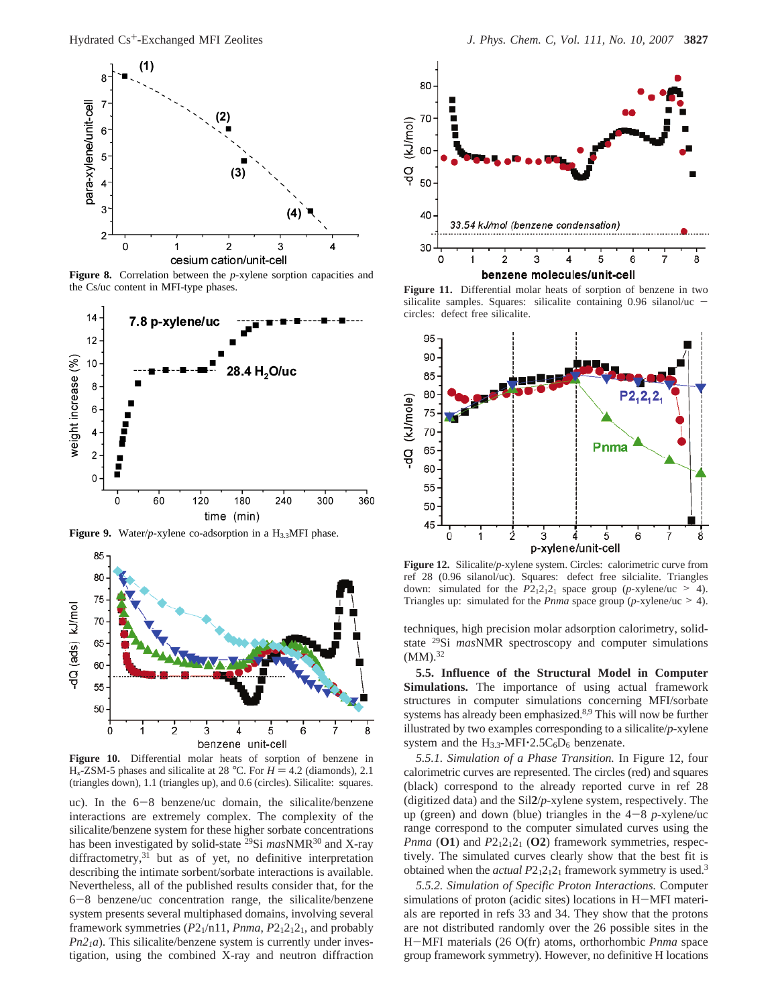

**Figure 8.** Correlation between the *p*-xylene sorption capacities and the Cs/uc content in MFI-type phases.



Figure 9. Water/*p*-xylene co-adsorption in a H<sub>3.3</sub>MFI phase.



**Figure 10.** Differential molar heats of sorption of benzene in  $H_x$ -ZSM-5 phases and silicalite at 28 °C. For  $H = 4.2$  (diamonds), 2.1 (triangles down), 1.1 (triangles up), and 0.6 (circles). Silicalite: squares.

uc). In the 6-8 benzene/uc domain, the silicalite/benzene interactions are extremely complex. The complexity of the silicalite/benzene system for these higher sorbate concentrations has been investigated by solid-state 29Si *mas*NMR30 and X-ray diffractometry,<sup>31</sup> but as of yet, no definitive interpretation describing the intimate sorbent/sorbate interactions is available. Nevertheless, all of the published results consider that, for the <sup>6</sup>-8 benzene/uc concentration range, the silicalite/benzene system presents several multiphased domains, involving several framework symmetries  $(P2_1/n11, Pnma, P2_12_12_1,$  and probably  $Pn2<sub>1</sub>a$ ). This silicalite/benzene system is currently under investigation, using the combined X-ray and neutron diffraction



**Figure 11.** Differential molar heats of sorption of benzene in two silicalite samples. Squares: silicalite containing 0.96 silanol/uc circles: defect free silicalite.



**Figure 12.** Silicalite/*p*-xylene system. Circles: calorimetric curve from ref 28 (0.96 silanol/uc). Squares: defect free silcialite. Triangles down: simulated for the  $P2_12_12_1$  space group (*p*-xylene/uc > 4). Triangles up: simulated for the *Pnma* space group (*p*-xylene/uc > 4).

techniques, high precision molar adsorption calorimetry, solidstate 29Si *mas*NMR spectroscopy and computer simulations  $(MM).^{32}$ 

**5.5. Influence of the Structural Model in Computer Simulations.** The importance of using actual framework structures in computer simulations concerning MFI/sorbate systems has already been emphasized.8,9 This will now be further illustrated by two examples corresponding to a silicalite/*p*-xylene system and the  $H_{3.3}$ -MFI $\cdot$ 2.5C<sub>6</sub>D<sub>6</sub> benzenate.

*5.5.1. Simulation of a Phase Transition.* In Figure 12, four calorimetric curves are represented. The circles (red) and squares (black) correspond to the already reported curve in ref 28 (digitized data) and the Sil**2**/*p*-xylene system, respectively. The up (green) and down (blue) triangles in the  $4-8$  *p*-xylene/uc range correspond to the computer simulated curves using the *Pnma* (**O1**) and  $P2_12_12_1$  (**O2**) framework symmetries, respectively. The simulated curves clearly show that the best fit is obtained when the *actual P*2<sub>1</sub>2<sub>1</sub>2<sub>1</sub> framework symmetry is used.<sup>3</sup>

*5.5.2. Simulation of Specific Proton Interactions.* Computer simulations of proton (acidic sites) locations in H-MFI materials are reported in refs 33 and 34. They show that the protons are not distributed randomly over the 26 possible sites in the <sup>H</sup>-MFI materials (26 O(fr) atoms, orthorhombic *Pnma* space group framework symmetry). However, no definitive H locations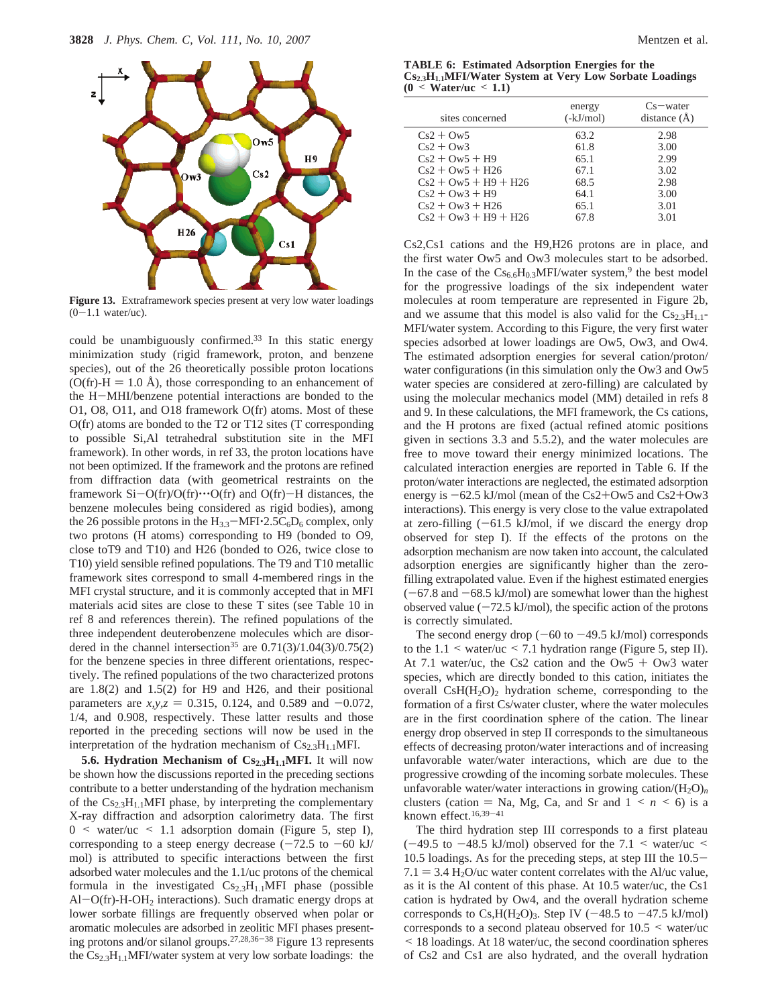

**Figure 13.** Extraframework species present at very low water loadings  $(0-1.1$  water/uc).

could be unambiguously confirmed. $33$  In this static energy minimization study (rigid framework, proton, and benzene species), out of the 26 theoretically possible proton locations  $(O(fr) - H = 1.0 \text{ Å})$ , those corresponding to an enhancement of the H-MHI/benzene potential interactions are bonded to the O1, O8, O11, and O18 framework O(fr) atoms. Most of these O(fr) atoms are bonded to the T2 or T12 sites (T corresponding to possible Si,Al tetrahedral substitution site in the MFI framework). In other words, in ref 33, the proton locations have not been optimized. If the framework and the protons are refined from diffraction data (with geometrical restraints on the framework  $Si-O(fr)/O(fr) \cdots O(fr)$  and  $O(fr) - H$  distances, the benzene molecules being considered as rigid bodies), among the 26 possible protons in the  $H_{3.3}$ -MFI $\cdot$ 2.5C<sub>6</sub>D<sub>6</sub> complex, only two protons (H atoms) corresponding to H9 (bonded to O9, close toT9 and T10) and H26 (bonded to O26, twice close to T10) yield sensible refined populations. The T9 and T10 metallic framework sites correspond to small 4-membered rings in the MFI crystal structure, and it is commonly accepted that in MFI materials acid sites are close to these T sites (see Table 10 in ref 8 and references therein). The refined populations of the three independent deuterobenzene molecules which are disordered in the channel intersection<sup>35</sup> are  $0.71(3)/1.04(3)/0.75(2)$ for the benzene species in three different orientations, respectively. The refined populations of the two characterized protons are 1.8(2) and 1.5(2) for H9 and H26, and their positional parameters are  $x, y, z = 0.315, 0.124,$  and 0.589 and  $-0.072$ , 1/4, and 0.908, respectively. These latter results and those reported in the preceding sections will now be used in the interpretation of the hydration mechanism of  $Cs_{2.3}H_{1.1}MFI$ .

**5.6. Hydration Mechanism of Cs<sub>2.3</sub>H<sub>1.1</sub>MFI.** It will now be shown how the discussions reported in the preceding sections contribute to a better understanding of the hydration mechanism of the Cs<sub>2.3</sub>H<sub>1.1</sub>MFI phase, by interpreting the complementary X-ray diffraction and adsorption calorimetry data. The first  $0 \leq$  water/uc  $\leq$  1.1 adsorption domain (Figure 5, step I), corresponding to a steep energy decrease  $(-72.5 \text{ to } -60 \text{ kJ})$ mol) is attributed to specific interactions between the first adsorbed water molecules and the 1.1/uc protons of the chemical formula in the investigated  $Cs_{2.3}H_{1.1}MFI$  phase (possible Al-O(fr)-H-OH2 interactions). Such dramatic energy drops at lower sorbate fillings are frequently observed when polar or aromatic molecules are adsorbed in zeolitic MFI phases presenting protons and/or silanol groups.27,28,36-<sup>38</sup> Figure 13 represents the  $Cs_{2.3}H_{1.1}$ MFI/water system at very low sorbate loadings: the

**TABLE 6: Estimated Adsorption Energies for the Cs2.3H1.1MFI/Water System at Very Low Sorbate Loadings (0** < **Water/uc** < **1.1)**

| sites concerned        | energy<br>$(-kJ/mol)$ | $Cs$ water<br>distance $(\AA)$ |
|------------------------|-----------------------|--------------------------------|
| $Cs2 + Ow5$            | 63.2                  | 2.98                           |
| $Cs2 + Ow3$            | 61.8                  | 3.00                           |
| $Cs2 + Ow5 + H9$       | 65.1                  | 2.99                           |
| $Cs2 + Ow5 + H26$      | 67.1                  | 3.02                           |
| $Cs2 + Ow5 + H9 + H26$ | 68.5                  | 2.98                           |
| $Cs2 + Ow3 + H9$       | 64.1                  | 3.00                           |
| $Cs2 + Ow3 + H26$      | 65.1                  | 3.01                           |
| $Cs2 + Ow3 + H9 + H26$ | 67.8                  | 3.01                           |
|                        |                       |                                |

Cs2,Cs1 cations and the H9,H26 protons are in place, and the first water Ow5 and Ow3 molecules start to be adsorbed. In the case of the  $Cs_{6.6}H_{0.3}MFI/water$  system,<sup>9</sup> the best model for the progressive loadings of the six independent water molecules at room temperature are represented in Figure 2b, and we assume that this model is also valid for the  $Cs_{2,3}H_{1,1}$ -MFI/water system. According to this Figure, the very first water species adsorbed at lower loadings are Ow5, Ow3, and Ow4. The estimated adsorption energies for several cation/proton/ water configurations (in this simulation only the Ow3 and Ow5 water species are considered at zero-filling) are calculated by using the molecular mechanics model (MM) detailed in refs 8 and 9. In these calculations, the MFI framework, the Cs cations, and the H protons are fixed (actual refined atomic positions given in sections 3.3 and 5.5.2), and the water molecules are free to move toward their energy minimized locations. The calculated interaction energies are reported in Table 6. If the proton/water interactions are neglected, the estimated adsorption energy is  $-62.5$  kJ/mol (mean of the Cs2+Ow5 and Cs2+Ow3 interactions). This energy is very close to the value extrapolated at zero-filling  $(-61.5 \text{ kJ/mol})$ , if we discard the energy drop observed for step I). If the effects of the protons on the adsorption mechanism are now taken into account, the calculated adsorption energies are significantly higher than the zerofilling extrapolated value. Even if the highest estimated energies  $(-67.8$  and  $-68.5$  kJ/mol) are somewhat lower than the highest observed value  $(-72.5 \text{ kJ/mol})$ , the specific action of the protons is correctly simulated.

The second energy drop  $(-60 \text{ to } -49.5 \text{ kJ/mol})$  corresponds to the  $1.1 \leq$  water/uc  $\leq$  7.1 hydration range (Figure 5, step II). At 7.1 water/uc, the Cs2 cation and the  $\text{Ow5} + \text{Ow3}$  water species, which are directly bonded to this cation, initiates the overall  $\text{CsH}(H_2O)_2$  hydration scheme, corresponding to the formation of a first Cs/water cluster, where the water molecules are in the first coordination sphere of the cation. The linear energy drop observed in step II corresponds to the simultaneous effects of decreasing proton/water interactions and of increasing unfavorable water/water interactions, which are due to the progressive crowding of the incoming sorbate molecules. These unfavorable water/water interactions in growing cation/ $(H_2O)_n$ clusters (cation  $=$  Na, Mg, Ca, and Sr and  $1 \le n \le 6$ ) is a known effect.16,39-<sup>41</sup>

The third hydration step III corresponds to a first plateau  $(-49.5 \text{ to } -48.5 \text{ kJ/mol})$  observed for the 7.1 < water/uc < 10.5 loadings. As for the preceding steps, at step III the 10.5-  $7.1 = 3.4$  H<sub>2</sub>O/uc water content correlates with the Al/uc value, as it is the Al content of this phase. At 10.5 water/uc, the Cs1 cation is hydrated by Ow4, and the overall hydration scheme corresponds to Cs,  $H(H_2O)_3$ . Step IV (-48.5 to -47.5 kJ/mol) corresponds to a second plateau observed for  $10.5 \leq$  water/uc < 18 loadings. At 18 water/uc, the second coordination spheres of Cs2 and Cs1 are also hydrated, and the overall hydration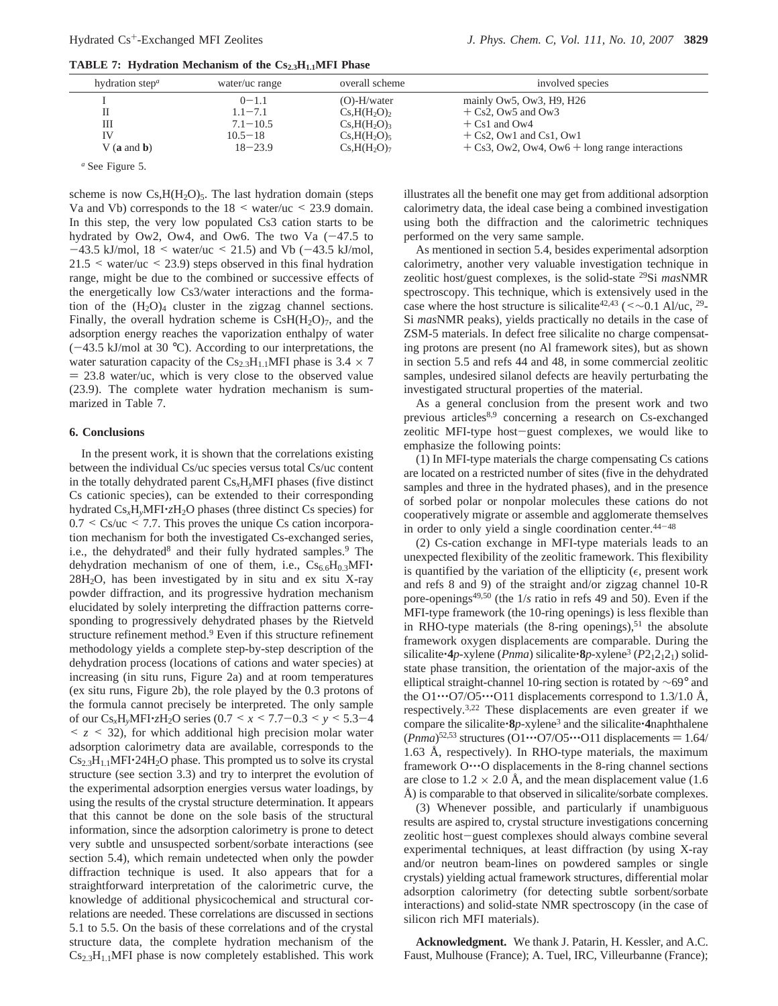| <b>TABLE 7:</b> Hydration Mechanism of the $Cs_{2,3}H_{1,1}MFI$ Phase |  |  |  |  |
|-----------------------------------------------------------------------|--|--|--|--|
|-----------------------------------------------------------------------|--|--|--|--|

| hydration step $\alpha$ | water/uc range | overall scheme                      | involved species                                                   |
|-------------------------|----------------|-------------------------------------|--------------------------------------------------------------------|
|                         | $0 - 1.1$      | $(O)-H/water$                       | mainly $\Omega$ w <sup>5</sup> , $\Omega$ w <sup>3</sup> , H9, H26 |
|                         | $1.1 - 7.1$    | Cs,H(H <sub>2</sub> O) <sub>2</sub> | $+ Cs2$ , Ow5 and Ow3                                              |
| Ш                       | $7.1 - 10.5$   | Cs,H(H <sub>2</sub> O) <sub>3</sub> | $+$ Cs1 and Ow4                                                    |
| IV                      | $10.5 - 18$    | $Cs,H(H_2O)$                        | $+ Cs2$ , Ow1 and Cs1, Ow1                                         |
| $V$ (a and b)           | $18 - 23.9$    | Cs,H(H <sub>2</sub> O) <sub>7</sub> | $+$ Cs3, Ow2, Ow4, Ow6 $+$ long range interactions                 |
|                         |                |                                     |                                                                    |

*<sup>a</sup>* See Figure 5.

scheme is now  $Cs, H(H_2O)_5$ . The last hydration domain (steps Va and Vb) corresponds to the  $18 \leq$  water/uc  $\leq$  23.9 domain. In this step, the very low populated Cs3 cation starts to be hydrated by Ow2, Ow4, and Ow6. The two Va  $(-47.5$  to  $-43.5$  kJ/mol,  $18 \leq$  water/uc  $\leq$  21.5) and Vb ( $-43.5$  kJ/mol,  $21.5 \leq$  water/uc  $\leq$  23.9) steps observed in this final hydration range, might be due to the combined or successive effects of the energetically low Cs3/water interactions and the formation of the  $(H_2O)_4$  cluster in the zigzag channel sections. Finally, the overall hydration scheme is  $CsH(H_2O)_7$ , and the adsorption energy reaches the vaporization enthalpy of water  $(-43.5 \text{ kJ/mol}$  at 30 °C). According to our interpretations, the water saturation capacity of the  $Cs_{2.3}H_{1.1}MFI$  phase is 3.4  $\times$  7  $= 23.8$  water/uc, which is very close to the observed value (23.9). The complete water hydration mechanism is summarized in Table 7.

#### **6. Conclusions**

In the present work, it is shown that the correlations existing between the individual Cs/uc species versus total Cs/uc content in the totally dehydrated parent Cs*x*H*y*MFI phases (five distinct Cs cationic species), can be extended to their corresponding hydrated Cs*x*H*y*MFI'*z*H2O phases (three distinct Cs species) for  $0.7 < \text{Cs/uc} < 7.7$ . This proves the unique Cs cation incorporation mechanism for both the investigated Cs-exchanged series, i.e., the dehydrated<sup>8</sup> and their fully hydrated samples.<sup>9</sup> The dehydration mechanism of one of them, i.e.,  $Cs_{6.6}H_{0.3}MFI$  $28H<sub>2</sub>O$ , has been investigated by in situ and ex situ X-ray powder diffraction, and its progressive hydration mechanism elucidated by solely interpreting the diffraction patterns corresponding to progressively dehydrated phases by the Rietveld structure refinement method.9 Even if this structure refinement methodology yields a complete step-by-step description of the dehydration process (locations of cations and water species) at increasing (in situ runs, Figure 2a) and at room temperatures (ex situ runs, Figure 2b), the role played by the 0.3 protons of the formula cannot precisely be interpreted. The only sample of our  $Cs_xH_yMFI \cdot zH_2O$  series  $(0.7 \le x \le 7.7 - 0.3 \le y \le 5.3 - 4$  $\leq z \leq 32$ , for which additional high precision molar water adsorption calorimetry data are available, corresponds to the  $Cs_{2,3}H_{1,1}MFI\cdot 24H_2O$  phase. This prompted us to solve its crystal structure (see section 3.3) and try to interpret the evolution of the experimental adsorption energies versus water loadings, by using the results of the crystal structure determination. It appears that this cannot be done on the sole basis of the structural information, since the adsorption calorimetry is prone to detect very subtle and unsuspected sorbent/sorbate interactions (see section 5.4), which remain undetected when only the powder diffraction technique is used. It also appears that for a straightforward interpretation of the calorimetric curve, the knowledge of additional physicochemical and structural correlations are needed. These correlations are discussed in sections 5.1 to 5.5. On the basis of these correlations and of the crystal structure data, the complete hydration mechanism of the  $Cs_{2,3}H_{1,1}$ MFI phase is now completely established. This work

illustrates all the benefit one may get from additional adsorption calorimetry data, the ideal case being a combined investigation using both the diffraction and the calorimetric techniques performed on the very same sample.

As mentioned in section 5.4, besides experimental adsorption calorimetry, another very valuable investigation technique in zeolitic host/guest complexes, is the solid-state 29Si *mas*NMR spectroscopy. This technique, which is extensively used in the case where the host structure is silicalite<sup>42,43</sup> (<∼0.1 Al/uc, <sup>29</sup>-Si *mas*NMR peaks), yields practically no details in the case of ZSM-5 materials. In defect free silicalite no charge compensating protons are present (no Al framework sites), but as shown in section 5.5 and refs 44 and 48, in some commercial zeolitic samples, undesired silanol defects are heavily perturbating the investigated structural properties of the material.

As a general conclusion from the present work and two previous articles<sup>8,9</sup> concerning a research on Cs-exchanged zeolitic MFI-type host-guest complexes, we would like to emphasize the following points:

(1) In MFI-type materials the charge compensating Cs cations are located on a restricted number of sites (five in the dehydrated samples and three in the hydrated phases), and in the presence of sorbed polar or nonpolar molecules these cations do not cooperatively migrate or assemble and agglomerate themselves in order to only yield a single coordination center.44-<sup>48</sup>

(2) Cs-cation exchange in MFI-type materials leads to an unexpected flexibility of the zeolitic framework. This flexibility is quantified by the variation of the ellipticity ( $\epsilon$ , present work and refs 8 and 9) of the straight and/or zigzag channel 10-R pore-openings49,50 (the 1/*s* ratio in refs 49 and 50). Even if the MFI-type framework (the 10-ring openings) is less flexible than in RHO-type materials (the 8-ring openings), $51$  the absolute framework oxygen displacements are comparable. During the silicalite:4*p*-xylene (*Pnma*) silicalite:8*p*-xylene<sup>3</sup> ( $P2_12_12_1$ ) solidstate phase transition, the orientation of the major-axis of the elliptical straight-channel 10-ring section is rotated by ∼69° and the  $O1 \cdot \cdot \cdot O7/O5 \cdot \cdot \cdot O11$  displacements correspond to 1.3/1.0 Å, respectively.3,22 These displacements are even greater if we compare the silicalite'**8***p*-xylene3 and the silicalite'**4**naphthalene (*Pnma*)<sup>52,53</sup> structures (O1···O7/O5···O11 displacements = 1.64/ 1.63 Å, respectively). In RHO-type materials, the maximum framework O…O displacements in the 8-ring channel sections are close to  $1.2 \times 2.0$  Å, and the mean displacement value (1.6) Å) is comparable to that observed in silicalite/sorbate complexes.

(3) Whenever possible, and particularly if unambiguous results are aspired to, crystal structure investigations concerning zeolitic host-guest complexes should always combine several experimental techniques, at least diffraction (by using X-ray and/or neutron beam-lines on powdered samples or single crystals) yielding actual framework structures, differential molar adsorption calorimetry (for detecting subtle sorbent/sorbate interactions) and solid-state NMR spectroscopy (in the case of silicon rich MFI materials).

**Acknowledgment.** We thank J. Patarin, H. Kessler, and A.C. Faust, Mulhouse (France); A. Tuel, IRC, Villeurbanne (France);